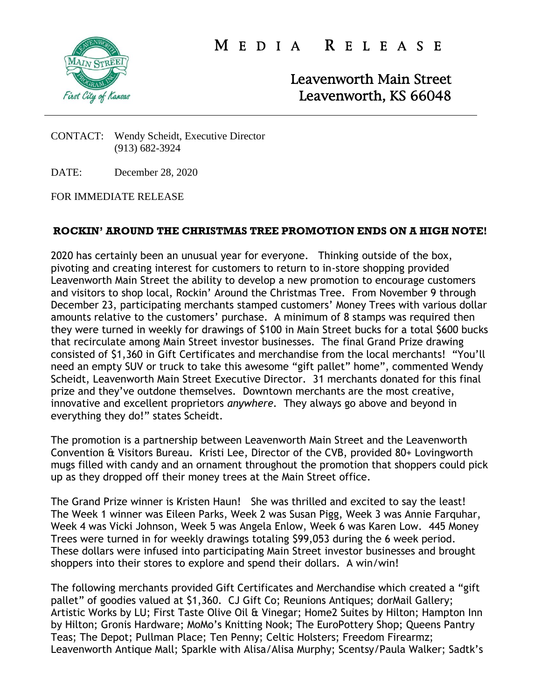

M E D I A R E L E A S E

Leavenworth Main Street Leavenworth, KS 66048

CONTACT: Wendy Scheidt, Executive Director (913) 682-3924

DATE: December 28, 2020

FOR IMMEDIATE RELEASE

## **ROCKIN' AROUND THE CHRISTMAS TREE PROMOTION ENDS ON A HIGH NOTE!**

2020 has certainly been an unusual year for everyone. Thinking outside of the box, pivoting and creating interest for customers to return to in-store shopping provided Leavenworth Main Street the ability to develop a new promotion to encourage customers and visitors to shop local, Rockin' Around the Christmas Tree. From November 9 through December 23, participating merchants stamped customers' Money Trees with various dollar amounts relative to the customers' purchase. A minimum of 8 stamps was required then they were turned in weekly for drawings of \$100 in Main Street bucks for a total \$600 bucks that recirculate among Main Street investor businesses. The final Grand Prize drawing consisted of \$1,360 in Gift Certificates and merchandise from the local merchants! "You'll need an empty SUV or truck to take this awesome "gift pallet" home", commented Wendy Scheidt, Leavenworth Main Street Executive Director. 31 merchants donated for this final prize and they've outdone themselves. Downtown merchants are the most creative, innovative and excellent proprietors *anywhere.* They always go above and beyond in everything they do!" states Scheidt.

The promotion is a partnership between Leavenworth Main Street and the Leavenworth Convention & Visitors Bureau. Kristi Lee, Director of the CVB, provided 80+ Lovingworth mugs filled with candy and an ornament throughout the promotion that shoppers could pick up as they dropped off their money trees at the Main Street office.

The Grand Prize winner is Kristen Haun! She was thrilled and excited to say the least! The Week 1 winner was Eileen Parks, Week 2 was Susan Pigg, Week 3 was Annie Farquhar, Week 4 was Vicki Johnson, Week 5 was Angela Enlow, Week 6 was Karen Low. 445 Money Trees were turned in for weekly drawings totaling \$99,053 during the 6 week period. These dollars were infused into participating Main Street investor businesses and brought shoppers into their stores to explore and spend their dollars. A win/win!

The following merchants provided Gift Certificates and Merchandise which created a "gift pallet" of goodies valued at \$1,360. CJ Gift Co; Reunions Antiques; dorMail Gallery; Artistic Works by LU; First Taste Olive Oil & Vinegar; Home2 Suites by Hilton; Hampton Inn by Hilton; Gronis Hardware; MoMo's Knitting Nook; The EuroPottery Shop; Queens Pantry Teas; The Depot; Pullman Place; Ten Penny; Celtic Holsters; Freedom Firearmz; Leavenworth Antique Mall; Sparkle with Alisa/Alisa Murphy; Scentsy/Paula Walker; Sadtk's